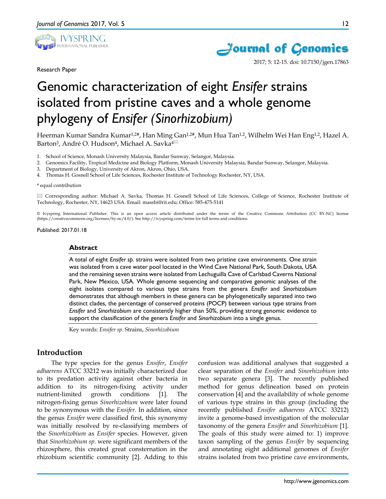

Research Paper





2017; 5: 12-15. doi: 10.7150/jgen.17863

# Genomic characterization of eight *Ensifer* strains isolated from pristine caves and a whole genome phylogeny of *Ensifer (Sinorhizobium)*

Heerman Kumar Sandra Kumar<sup>1,2#</sup>, Han Ming Gan<sup>1,2#</sup>, Mun Hua Tan<sup>1,2</sup>, Wilhelm Wei Han Eng<sup>1,2</sup>, Hazel A. Barton<sup>3</sup>, André O. Hudson<sup>4</sup>, Michael A. Savka<sup>4⊠</sup>

- 1. School of Science, Monash University Malaysia, Bandar Sunway, Selangor, Malaysia.
- 2. Genomics Facility, Tropical Medicine and Biology Platform, Monash University Malaysia, Bandar Sunway, Selangor, Malaysia.
- Department of Biology, University of Akron, Akron, Ohio, USA.
- 4. Thomas H. Gosnell School of Life Sciences, Rochester Institute of Technology Rochester, NY, USA.

#### # equal contribution

 Corresponding author: Michael A. Savka, Thomas H. Gosnell School of Life Sciences, College of Science, Rochester Institute of Technology, Rochester, NY, 14623 USA. Email: massbi@rit.edu; Office: 585-475-5141

© Ivyspring International Publisher. This is an open access article distributed under the terms of the Creative Commons Attribution (CC BY-NC) license (https://creativecommons.org/licenses/by-nc/4.0/). See http://ivyspring.com/terms for full terms and conditions.

Published: 2017.01.18

#### **Abstract**

A total of eight *Ensifer sp.* strains were isolated from two pristine cave environments. One strain was isolated from a cave water pool located in the Wind Cave National Park, South Dakota, USA and the remaining seven strains were isolated from Lechuguilla Cave of Carlsbad Caverns National Park, New Mexico, USA. Whole genome sequencing and comparative genomic analyses of the eight isolates compared to various type strains from the genera *Ensifer* and *Sinorhizobium* demonstrates that although members in these genera can be phylogenetically separated into two distinct clades, the percentage of conserved proteins (POCP) between various type strains from *Ensifer* and *Sinorhizobium* are consistently higher than 50%, providing strong genomic evidence to support the classification of the genera *Ensifer* and *Sinorhizobium* into a single genus.

Key words: *Ensifer sp.* Strains, *Sinorhizobium*

## **Introduction**

The type species for the genus *Ensifer*, *Ensifer adhaerens* ATCC 33212 was initially characterized due to its predation activity against other bacteria in addition to its nitrogen-fixing activity under nutrient-limited growth conditions [1]. The nitrogen-fixing genus *Sinorhizobium* were later found to be synonymous with the *Ensifer*. In addition, since the genus *Ensifer* were classified first, this synonymy was initially resolved by re-classifying members of the *Sinorhizobium* as *Ensifer* species. However, given that *Sinorhizobium sp.* were significant members of the rhizosphere, this created great consternation in the rhizobium scientific community [2]. Adding to this

confusion was additional analyses that suggested a clear separation of the *Ensifer* and *Sinorhizobium* into two separate genera [3]. The recently published method for genus delineation based on protein conservation [4] and the availability of whole genome of various type strains in this group (including the recently published *Ensifer adhaerens* ATCC 33212) invite a genome-based investigation of the molecular taxonomy of the genera *Ensifer* and *Sinorhizobium* [1]. The goals of this study were aimed to: 1) improve taxon sampling of the genus *Ensifer* by sequencing and annotating eight additional genomes of *Ensifer*  strains isolated from two pristine cave environments,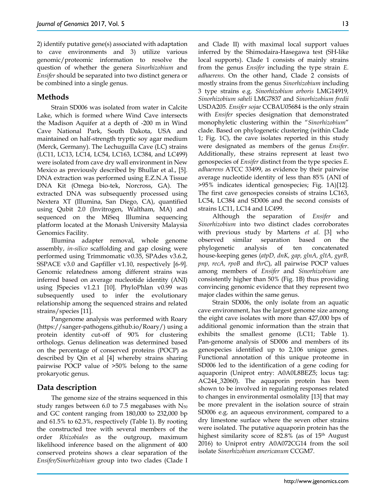2) identify putative gene(s) associated with adaptation to cave environments and 3) utilize various genomic/proteomic information to resolve the question of whether the genera *Sinorhizobium* and *Ensifer* should be separated into two distinct genera or be combined into a single genus.

## **Methods**

Strain SD006 was isolated from water in Calcite Lake, which is formed where Wind Cave intersects the Madison Aquifer at a depth of -200 m in Wind Cave National Park, South Dakota, USA and maintained on half-strength tryptic soy agar medium (Merck, Germany). The Lechuguilla Cave (LC) strains (LC11, LC13, LC14, LC54, LC163, LC384, and LC499) were isolated from cave dry wall environment in New Mexico as previously described by Bhullar et al., [5]. DNA extraction was performed using E.Z.N.A Tissue DNA Kit (Omega bio-tek, Norcross, GA). The extracted DNA was subsequently processed using Nextera XT (Illumina, San Diego, CA), quantified using Qubit 2.0 (Invitrogen, Waltham, MA) and sequenced on the MiSeq Illumina sequencing platform located at the Monash University Malaysia Genomics Facility.

Illumina adapter removal, whole genome assembly, *in-silico* scaffolding and gap closing were performed using Trimmomatic v0.35, SPAdes v3.6.2, SSPACE v3.0 and Gapfiller v1.10, respectively [6-9]. Genomic relatedness among different strains was inferred based on average nucleotide identity (ANI) using JSpecies v1.2.1 [10]. PhyloPhlan v0.99 was subsequently used to infer the evolutionary relationship among the sequenced strains and related strains/species [11].

Pangenome analysis was performed with Roary (https://sanger-pathogens.github.io/Roary/) using a protein identity cut-off of 90% for clustering orthologs. Genus delineation was determined based on the percentage of conserved proteins (POCP) as described by Qin et al [4] whereby strains sharing pairwise POCP value of >50% belong to the same prokaryotic genus.

## **Data description**

The genome size of the strains sequenced in this study ranges between 6.0 to 7.5 megabases with  $N_{50}$ and GC content ranging from 180,000 to 232,000 bp and 61.5% to 62.3%, respectively (Table 1). By rooting the constructed tree with several members of the order *Rhizobiales* as the outgroup, maximum likelihood inference based on the alignment of 400 conserved proteins shows a clear separation of the *Ensifer/Sinorhizobium* group into two clades (Clade I and Clade II) with maximal local support values inferred by the Shimodaira-Hasegawa test (SH-like local supports). Clade 1 consists of mainly strains from the genus *Ensifer* including the type strain *E. adhaerens.* On the other hand, Clade 2 consists of mostly strains from the genus *Sinorhizobium* including 3 type strains e.g. *Sinorhizobium arboris* LMG14919*, Sinorhizobium saheli* LMG7837 and *Sinorhizobium fredii*  USDA205*. Ensifer sojae* CCBAU05684 is the only strain with *Ensifer* species designation that demonstrated monophyletic clustering within the "*Sinorhizobium*" clade. Based on phylogenetic clustering (within Clade 1; Fig. 1C), the cave isolates reported in this study were designated as members of the genus *Ensifer*. Additionally, these strains represent at least two genospecies of *Ensifer* distinct from the type species *E. adhaerens* ATCC 33499, as evidence by their pairwise average nucleotide identity of less than 85% (ANI of >95% indicates identical genospecies; Fig. 1A)[12]*.* The first cave genospecies consists of strains LC163, LC54, LC384 and SD006 and the second consists of strains LC11, LC14 and LC499.

Although the separation of *Ensifer* and *Sinorhizobium* into two distinct clades corroborates with previous study by Martens *et al.* [3] who observed similar separation based on the phylogenetic analysis of ten concatenated house-keeping genes (*atpD, dnK, gap, glnA, gltA, gyrB, pnp, recA, rpoB* and *thrC*), all pairwise POCP values among members of *Ensifer* and *Sinorhizobium* are consistently higher than 50% (Fig. 1B) thus providing convincing genomic evidence that they represent two major clades within the same genus.

Strain SD006, the only isolate from an aquatic cave environment, has the largest genome size among the eight cave isolates with more than 427,000 bps of additional genomic information than the strain that exhibits the smallest genome (LC11; Table 1). Pan-genome analysis of SD006 and members of its genospecies identified up to 2,106 unique genes. Functional annotation of this unique proteome in SD006 led to the identification of a gene coding for aquaporin (Uniprot entry: A0A0L8BEZ5; locus tag: AC244\_32060). The aquaporin protein has been shown to be involved in regulating responses related to changes in environmental osmolality [13] that may be more prevalent in the isolation source of strain SD006 e.g. an aqueous environment, compared to a dry limestone surface where the seven other strains were isolated. The putative aquaporin protein has the highest similarity score of 82.8% (as of 15<sup>th</sup> August 2016) to Uniprot entry A0A072CG14 from the soil isolate *Sinorhizobium americanum* CCGM7.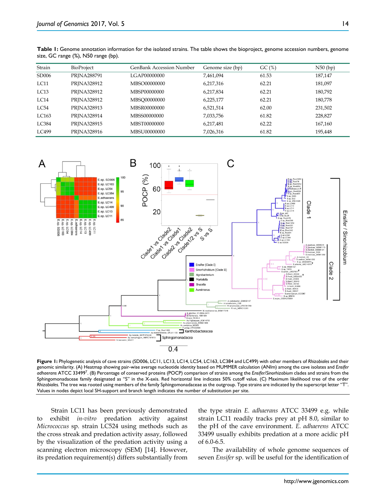| Strain | BioProject  | GenBank Accession Number | Genome size (bp) | GC(%) | $N50$ (bp) |
|--------|-------------|--------------------------|------------------|-------|------------|
| SD006  | PRINA288791 | LGAP00000000             | 7,461,094        | 61.53 | 187,147    |
| LC11   | PRINA328912 | MBSO00000000             | 6,217,316        | 62.21 | 181.097    |
| LC13   | PRINA328912 | MBSP00000000             | 6,217,834        | 62.21 | 180.792    |
| LC14   | PRINA328912 | MBSO00000000             | 6,225,177        | 62.21 | 180,778    |
| LC54   | PRINA328913 | MBSR00000000             | 6,521,514        | 62.00 | 231,502    |
| LC163  | PRINA328914 | MBSS00000000             | 7,033,756        | 61.82 | 228,827    |
| LC384  | PRINA328915 | MBST00000000             | 6,217,481        | 62.22 | 167,160    |
| LC499  | PRINA328916 | MBSU00000000             | 7,026,316        | 61.82 | 195,448    |

**Table 1:** Genome annotation information for the isolated strains. The table shows the bioproject, genome accession numbers, genome size, GC range (%), N50 range (bp).



**Figure 1:** Phylogenetic analysis of cave strains (SD006, LC11, LC13, LC14, LC54, LC163, LC384 and LC499) with other members of *Rhizobiales* and their genomic similarity. (A) Heatmap showing pair-wise average nucleotide identity based on MUMMER calculation (ANIm) among the cave isolates and *Ensifer adhaerans* ATCC 33499T. (B) Percentage of conserved proteins (POCP) comparison of strains among the *Ensifer/Sinorhizobium* clades and strains from the Sphingomonadaceae family designated as "S" in the X-axis. Red horizontal line indicates 50% cutoff value. (C) Maximum likelihood tree of the order *Rhizobiales.* The tree was rooted using members of the family Sphingomonadaceae as the outgroup. Type strains are indicated by the superscript letter "T". Values in nodes depict local SH-support and branch length indicates the number of substitution per site.

Strain LC11 has been previously demonstrated to exhibit *in-vitro* predation activity against *Micrococcus* sp. strain LC524 using methods such as the cross streak and predation activity assay, followed by the visualization of the predation activity using a scanning electron microscopy (SEM) [14]. However, its predation requirement(s) differs substantially from the type strain *E. adhaerans* ATCC 33499 e.g. while strain LC11 readily tracks prey at pH 8.0, similar to the pH of the cave environment. *E. adhaerens* ATCC 33499 usually exhibits predation at a more acidic pH of 6.0-6.5.

The availability of whole genome sequences of seven *Ensifer* sp. will be useful for the identification of